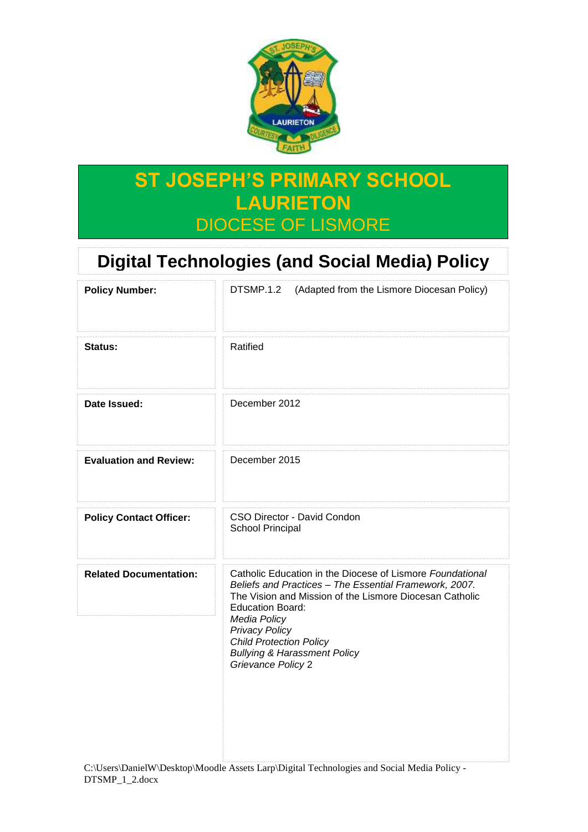

## **ST JOSEPH'S PRIMARY SCHOOL LAURIETON** DIOCESE OF LISMORE

# **Digital Technologies (and Social Media) Policy**

| <b>Policy Number:</b>          | DTSMP.1.2<br>(Adapted from the Lismore Diocesan Policy)                                                                                                                                                                                                                                                                                               |
|--------------------------------|-------------------------------------------------------------------------------------------------------------------------------------------------------------------------------------------------------------------------------------------------------------------------------------------------------------------------------------------------------|
| Status:                        | Ratified                                                                                                                                                                                                                                                                                                                                              |
| Date Issued:                   | December 2012                                                                                                                                                                                                                                                                                                                                         |
| <b>Evaluation and Review:</b>  | December 2015                                                                                                                                                                                                                                                                                                                                         |
| <b>Policy Contact Officer:</b> | CSO Director - David Condon<br>School Principal                                                                                                                                                                                                                                                                                                       |
| <b>Related Documentation:</b>  | Catholic Education in the Diocese of Lismore Foundational<br>Beliefs and Practices - The Essential Framework, 2007.<br>The Vision and Mission of the Lismore Diocesan Catholic<br><b>Education Board:</b><br>Media Policy<br><b>Privacy Policy</b><br><b>Child Protection Policy</b><br><b>Bullying &amp; Harassment Policy</b><br>Grievance Policy 2 |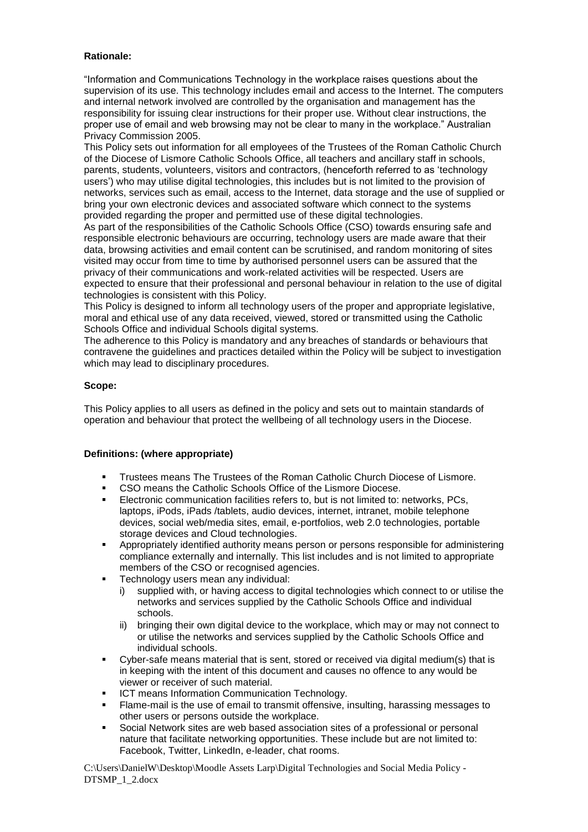#### **Rationale:**

"Information and Communications Technology in the workplace raises questions about the supervision of its use. This technology includes email and access to the Internet. The computers and internal network involved are controlled by the organisation and management has the responsibility for issuing clear instructions for their proper use. Without clear instructions, the proper use of email and web browsing may not be clear to many in the workplace." Australian Privacy Commission 2005.

This Policy sets out information for all employees of the Trustees of the Roman Catholic Church of the Diocese of Lismore Catholic Schools Office, all teachers and ancillary staff in schools, parents, students, volunteers, visitors and contractors, (henceforth referred to as 'technology users') who may utilise digital technologies, this includes but is not limited to the provision of networks, services such as email, access to the Internet, data storage and the use of supplied or bring your own electronic devices and associated software which connect to the systems provided regarding the proper and permitted use of these digital technologies.

As part of the responsibilities of the Catholic Schools Office (CSO) towards ensuring safe and responsible electronic behaviours are occurring, technology users are made aware that their data, browsing activities and email content can be scrutinised, and random monitoring of sites visited may occur from time to time by authorised personnel users can be assured that the privacy of their communications and work-related activities will be respected. Users are expected to ensure that their professional and personal behaviour in relation to the use of digital technologies is consistent with this Policy.

This Policy is designed to inform all technology users of the proper and appropriate legislative, moral and ethical use of any data received, viewed, stored or transmitted using the Catholic Schools Office and individual Schools digital systems.

The adherence to this Policy is mandatory and any breaches of standards or behaviours that contravene the guidelines and practices detailed within the Policy will be subject to investigation which may lead to disciplinary procedures.

#### **Scope:**

This Policy applies to all users as defined in the policy and sets out to maintain standards of operation and behaviour that protect the wellbeing of all technology users in the Diocese.

#### **Definitions: (where appropriate)**

- Trustees means The Trustees of the Roman Catholic Church Diocese of Lismore.
- CSO means the Catholic Schools Office of the Lismore Diocese.
- Electronic communication facilities refers to, but is not limited to: networks, PCs, laptops, iPods, iPads /tablets, audio devices, internet, intranet, mobile telephone devices, social web/media sites, email, e-portfolios, web 2.0 technologies, portable storage devices and Cloud technologies.
- Appropriately identified authority means person or persons responsible for administering compliance externally and internally. This list includes and is not limited to appropriate members of the CSO or recognised agencies.
- Technology users mean any individual:
	- i) supplied with, or having access to digital technologies which connect to or utilise the networks and services supplied by the Catholic Schools Office and individual schools.
	- ii) bringing their own digital device to the workplace, which may or may not connect to or utilise the networks and services supplied by the Catholic Schools Office and individual schools.
- Cyber-safe means material that is sent, stored or received via digital medium(s) that is in keeping with the intent of this document and causes no offence to any would be viewer or receiver of such material.
- ICT means Information Communication Technology.
- Flame-mail is the use of email to transmit offensive, insulting, harassing messages to other users or persons outside the workplace.
- Social Network sites are web based association sites of a professional or personal nature that facilitate networking opportunities. These include but are not limited to: Facebook, Twitter, LinkedIn, e-leader, chat rooms.

C:\Users\DanielW\Desktop\Moodle Assets Larp\Digital Technologies and Social Media Policy - DTSMP\_1\_2.docx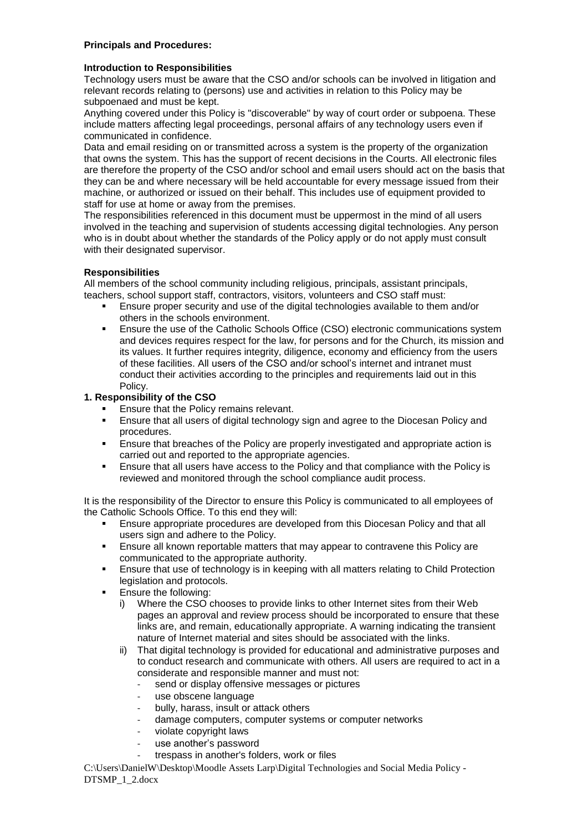### **Principals and Procedures:**

#### **Introduction to Responsibilities**

Technology users must be aware that the CSO and/or schools can be involved in litigation and relevant records relating to (persons) use and activities in relation to this Policy may be subpoenaed and must be kept.

Anything covered under this Policy is "discoverable" by way of court order or subpoena. These include matters affecting legal proceedings, personal affairs of any technology users even if communicated in confidence.

Data and email residing on or transmitted across a system is the property of the organization that owns the system. This has the support of recent decisions in the Courts. All electronic files are therefore the property of the CSO and/or school and email users should act on the basis that they can be and where necessary will be held accountable for every message issued from their machine, or authorized or issued on their behalf. This includes use of equipment provided to staff for use at home or away from the premises.

The responsibilities referenced in this document must be uppermost in the mind of all users involved in the teaching and supervision of students accessing digital technologies. Any person who is in doubt about whether the standards of the Policy apply or do not apply must consult with their designated supervisor.

### **Responsibilities**

All members of the school community including religious, principals, assistant principals, teachers, school support staff, contractors, visitors, volunteers and CSO staff must:

- Ensure proper security and use of the digital technologies available to them and/or others in the schools environment.
- **Ensure the use of the Catholic Schools Office (CSO) electronic communications system** and devices requires respect for the law, for persons and for the Church, its mission and its values. It further requires integrity, diligence, economy and efficiency from the users of these facilities. All users of the CSO and/or school's internet and intranet must conduct their activities according to the principles and requirements laid out in this Policy.

### **1. Responsibility of the CSO**

- Ensure that the Policy remains relevant.
- Ensure that all users of digital technology sign and agree to the Diocesan Policy and procedures.
- Ensure that breaches of the Policy are properly investigated and appropriate action is carried out and reported to the appropriate agencies.
- Ensure that all users have access to the Policy and that compliance with the Policy is reviewed and monitored through the school compliance audit process.

It is the responsibility of the Director to ensure this Policy is communicated to all employees of the Catholic Schools Office. To this end they will:

- **Ensure appropriate procedures are developed from this Diocesan Policy and that all** users sign and adhere to the Policy.
- Ensure all known reportable matters that may appear to contravene this Policy are communicated to the appropriate authority.
- Ensure that use of technology is in keeping with all matters relating to Child Protection legislation and protocols.
- Ensure the following:
	- i) Where the CSO chooses to provide links to other Internet sites from their Web pages an approval and review process should be incorporated to ensure that these links are, and remain, educationally appropriate. A warning indicating the transient nature of Internet material and sites should be associated with the links.
	- ii) That digital technology is provided for educational and administrative purposes and to conduct research and communicate with others. All users are required to act in a considerate and responsible manner and must not:
		- send or display offensive messages or pictures
		- use obscene language
		- bully, harass, insult or attack others
		- damage computers, computer systems or computer networks
		- violate copyright laws
		- use another's password
		- trespass in another's folders, work or files

C:\Users\DanielW\Desktop\Moodle Assets Larp\Digital Technologies and Social Media Policy - DTSMP\_1\_2.docx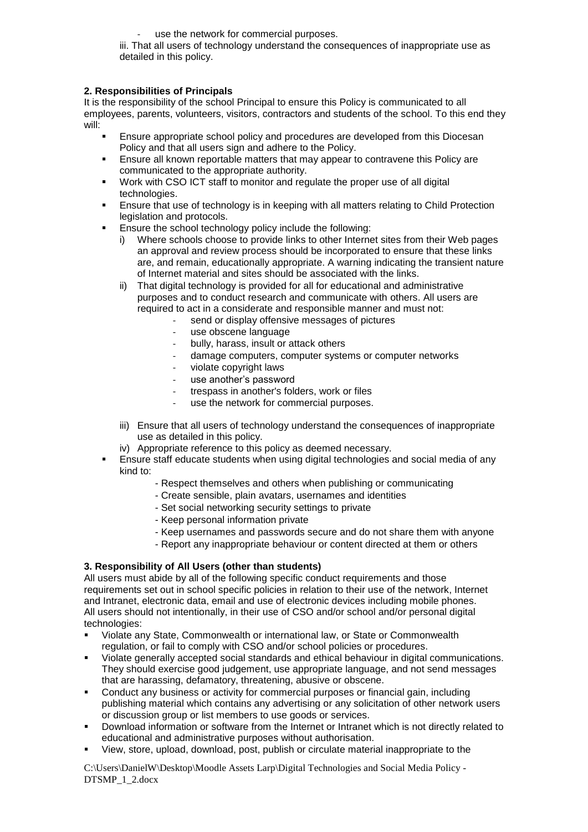use the network for commercial purposes.

iii. That all users of technology understand the consequences of inappropriate use as detailed in this policy.

#### **2. Responsibilities of Principals**

It is the responsibility of the school Principal to ensure this Policy is communicated to all employees, parents, volunteers, visitors, contractors and students of the school. To this end they will:

- Ensure appropriate school policy and procedures are developed from this Diocesan Policy and that all users sign and adhere to the Policy.
- **Ensure all known reportable matters that may appear to contravene this Policy are** communicated to the appropriate authority.
- Work with CSO ICT staff to monitor and regulate the proper use of all digital technologies.
- Ensure that use of technology is in keeping with all matters relating to Child Protection legislation and protocols.
- Ensure the school technology policy include the following:
	- i) Where schools choose to provide links to other Internet sites from their Web pages an approval and review process should be incorporated to ensure that these links are, and remain, educationally appropriate. A warning indicating the transient nature of Internet material and sites should be associated with the links.
	- ii) That digital technology is provided for all for educational and administrative purposes and to conduct research and communicate with others. All users are required to act in a considerate and responsible manner and must not:
		- send or display offensive messages of pictures
		- use obscene language
		- bully, harass, insult or attack others
		- damage computers, computer systems or computer networks
		- violate copyright laws
		- use another's password
		- trespass in another's folders, work or files
		- use the network for commercial purposes.
	- iii) Ensure that all users of technology understand the consequences of inappropriate use as detailed in this policy.
	- iv) Appropriate reference to this policy as deemed necessary.
- Ensure staff educate students when using digital technologies and social media of any kind to:
	- Respect themselves and others when publishing or communicating
	- Create sensible, plain avatars, usernames and identities
	- Set social networking security settings to private
	- Keep personal information private
	- Keep usernames and passwords secure and do not share them with anyone
	- Report any inappropriate behaviour or content directed at them or others

#### **3. Responsibility of All Users (other than students)**

All users must abide by all of the following specific conduct requirements and those requirements set out in school specific policies in relation to their use of the network, Internet and Intranet, electronic data, email and use of electronic devices including mobile phones. All users should not intentionally, in their use of CSO and/or school and/or personal digital technologies:

- Violate any State, Commonwealth or international law, or State or Commonwealth regulation, or fail to comply with CSO and/or school policies or procedures.
- Violate generally accepted social standards and ethical behaviour in digital communications. They should exercise good judgement, use appropriate language, and not send messages that are harassing, defamatory, threatening, abusive or obscene.
- Conduct any business or activity for commercial purposes or financial gain, including publishing material which contains any advertising or any solicitation of other network users or discussion group or list members to use goods or services.
- Download information or software from the Internet or Intranet which is not directly related to educational and administrative purposes without authorisation.
- View, store, upload, download, post, publish or circulate material inappropriate to the

C:\Users\DanielW\Desktop\Moodle Assets Larp\Digital Technologies and Social Media Policy - DTSMP\_1\_2.docx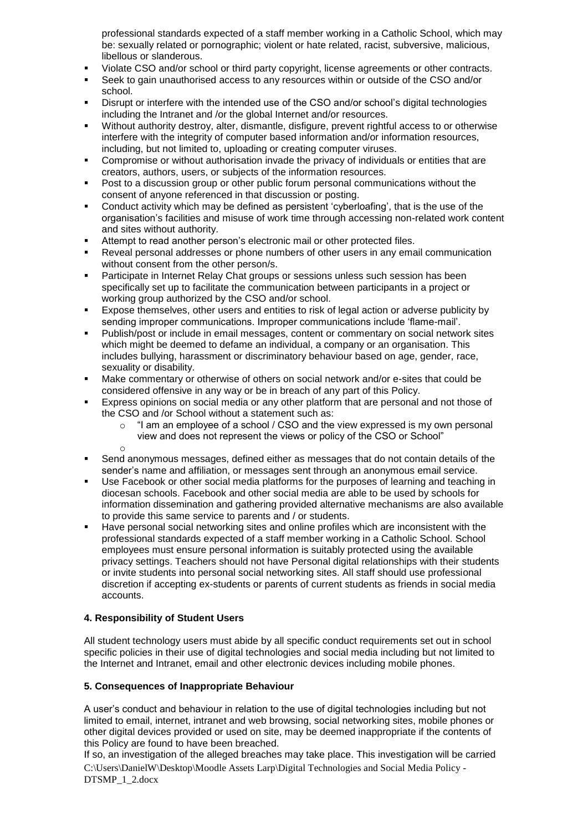professional standards expected of a staff member working in a Catholic School, which may be: sexually related or pornographic; violent or hate related, racist, subversive, malicious, libellous or slanderous.

- Violate CSO and/or school or third party copyright, license agreements or other contracts.
- Seek to gain unauthorised access to any resources within or outside of the CSO and/or school.
- Disrupt or interfere with the intended use of the CSO and/or school's digital technologies including the Intranet and /or the global Internet and/or resources.
- Without authority destroy, alter, dismantle, disfigure, prevent rightful access to or otherwise interfere with the integrity of computer based information and/or information resources, including, but not limited to, uploading or creating computer viruses.
- Compromise or without authorisation invade the privacy of individuals or entities that are creators, authors, users, or subjects of the information resources.
- Post to a discussion group or other public forum personal communications without the consent of anyone referenced in that discussion or posting.
- Conduct activity which may be defined as persistent 'cyberloafing', that is the use of the organisation's facilities and misuse of work time through accessing non-related work content and sites without authority.
- Attempt to read another person's electronic mail or other protected files.
- Reveal personal addresses or phone numbers of other users in any email communication without consent from the other person/s.
- Participate in Internet Relay Chat groups or sessions unless such session has been specifically set up to facilitate the communication between participants in a project or working group authorized by the CSO and/or school.
- Expose themselves, other users and entities to risk of legal action or adverse publicity by sending improper communications. Improper communications include 'flame-mail'.
- Publish/post or include in email messages, content or commentary on social network sites which might be deemed to defame an individual, a company or an organisation. This includes bullying, harassment or discriminatory behaviour based on age, gender, race, sexuality or disability.
- Make commentary or otherwise of others on social network and/or e-sites that could be considered offensive in any way or be in breach of any part of this Policy.
- Express opinions on social media or any other platform that are personal and not those of the CSO and /or School without a statement such as:
	- o "I am an employee of a school / CSO and the view expressed is my own personal view and does not represent the views or policy of the CSO or School"
	- o
- Send anonymous messages, defined either as messages that do not contain details of the sender's name and affiliation, or messages sent through an anonymous email service.
- Use Facebook or other social media platforms for the purposes of learning and teaching in diocesan schools. Facebook and other social media are able to be used by schools for information dissemination and gathering provided alternative mechanisms are also available to provide this same service to parents and / or students.
- Have personal social networking sites and online profiles which are inconsistent with the professional standards expected of a staff member working in a Catholic School. School employees must ensure personal information is suitably protected using the available privacy settings. Teachers should not have Personal digital relationships with their students or invite students into personal social networking sites. All staff should use professional discretion if accepting ex-students or parents of current students as friends in social media accounts.

## **4. Responsibility of Student Users**

All student technology users must abide by all specific conduct requirements set out in school specific policies in their use of digital technologies and social media including but not limited to the Internet and Intranet, email and other electronic devices including mobile phones.

## **5. Consequences of Inappropriate Behaviour**

A user's conduct and behaviour in relation to the use of digital technologies including but not limited to email, internet, intranet and web browsing, social networking sites, mobile phones or other digital devices provided or used on site, may be deemed inappropriate if the contents of this Policy are found to have been breached.

C:\Users\DanielW\Desktop\Moodle Assets Larp\Digital Technologies and Social Media Policy - DTSMP\_1\_2.docx If so, an investigation of the alleged breaches may take place. This investigation will be carried